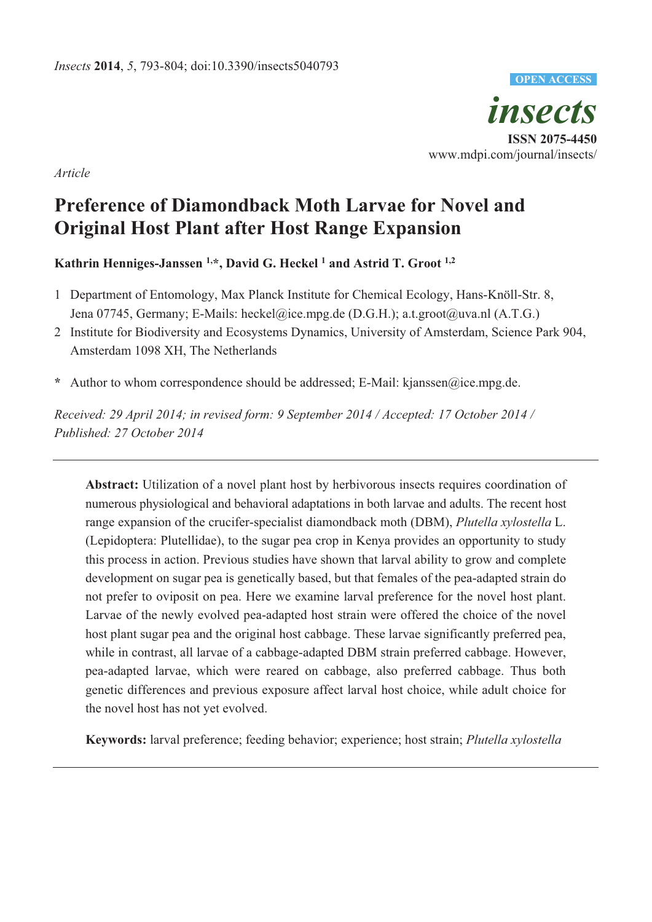

*Article* 

# **Preference of Diamondback Moth Larvae for Novel and Original Host Plant after Host Range Expansion**

Kathrin Henniges-Janssen<sup>1,\*</sup>, David G. Heckel<sup>1</sup> and Astrid T. Groot<sup>1,2</sup>

- 1 Department of Entomology, Max Planck Institute for Chemical Ecology, Hans-Knöll-Str. 8, Jena 07745, Germany; E-Mails: heckel@ice.mpg.de (D.G.H.); a.t.groot@uva.nl (A.T.G.)
- 2 Institute for Biodiversity and Ecosystems Dynamics, University of Amsterdam, Science Park 904, Amsterdam 1098 XH, The Netherlands
- **\*** Author to whom correspondence should be addressed; E-Mail: kjanssen@ice.mpg.de.

*Received: 29 April 2014; in revised form: 9 September 2014 / Accepted: 17 October 2014 / Published: 27 October 2014* 

**Abstract:** Utilization of a novel plant host by herbivorous insects requires coordination of numerous physiological and behavioral adaptations in both larvae and adults. The recent host range expansion of the crucifer-specialist diamondback moth (DBM), *Plutella xylostella* L. (Lepidoptera: Plutellidae), to the sugar pea crop in Kenya provides an opportunity to study this process in action. Previous studies have shown that larval ability to grow and complete development on sugar pea is genetically based, but that females of the pea-adapted strain do not prefer to oviposit on pea. Here we examine larval preference for the novel host plant. Larvae of the newly evolved pea-adapted host strain were offered the choice of the novel host plant sugar pea and the original host cabbage. These larvae significantly preferred pea, while in contrast, all larvae of a cabbage-adapted DBM strain preferred cabbage. However, pea-adapted larvae, which were reared on cabbage, also preferred cabbage. Thus both genetic differences and previous exposure affect larval host choice, while adult choice for the novel host has not yet evolved.

**Keywords:** larval preference; feeding behavior; experience; host strain; *Plutella xylostella*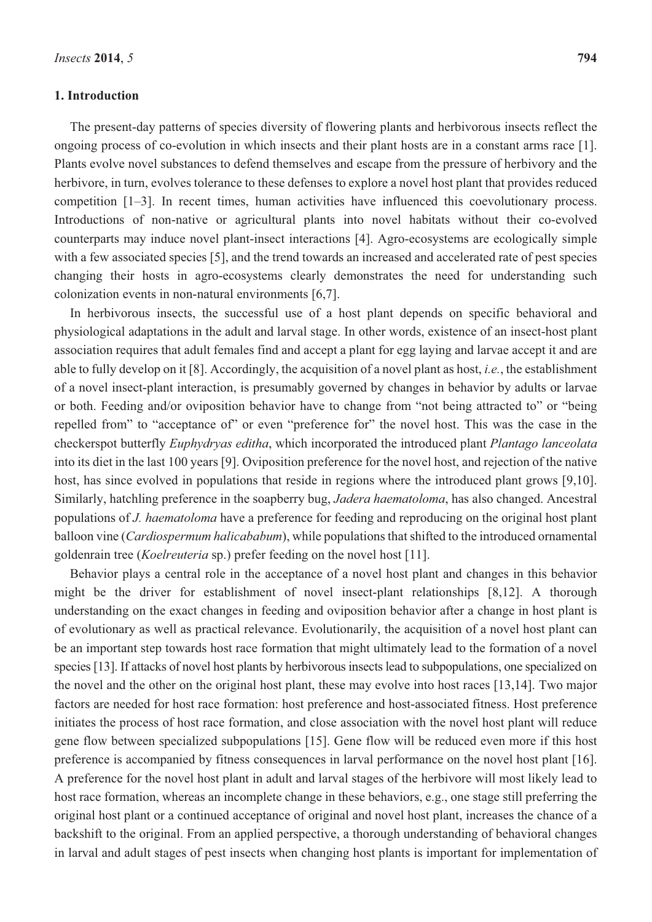#### **1. Introduction**

The present-day patterns of species diversity of flowering plants and herbivorous insects reflect the ongoing process of co-evolution in which insects and their plant hosts are in a constant arms race [1]. Plants evolve novel substances to defend themselves and escape from the pressure of herbivory and the herbivore, in turn, evolves tolerance to these defenses to explore a novel host plant that provides reduced competition [1–3]. In recent times, human activities have influenced this coevolutionary process. Introductions of non-native or agricultural plants into novel habitats without their co-evolved counterparts may induce novel plant-insect interactions [4]. Agro-ecosystems are ecologically simple with a few associated species [5], and the trend towards an increased and accelerated rate of pest species changing their hosts in agro-ecosystems clearly demonstrates the need for understanding such colonization events in non-natural environments [6,7].

In herbivorous insects, the successful use of a host plant depends on specific behavioral and physiological adaptations in the adult and larval stage. In other words, existence of an insect-host plant association requires that adult females find and accept a plant for egg laying and larvae accept it and are able to fully develop on it [8]. Accordingly, the acquisition of a novel plant as host, *i.e.*, the establishment of a novel insect-plant interaction, is presumably governed by changes in behavior by adults or larvae or both. Feeding and/or oviposition behavior have to change from "not being attracted to" or "being repelled from" to "acceptance of" or even "preference for" the novel host. This was the case in the checkerspot butterfly *Euphydryas editha*, which incorporated the introduced plant *Plantago lanceolata* into its diet in the last 100 years [9]. Oviposition preference for the novel host, and rejection of the native host, has since evolved in populations that reside in regions where the introduced plant grows [9,10]. Similarly, hatchling preference in the soapberry bug, *Jadera haematoloma*, has also changed. Ancestral populations of *J. haematoloma* have a preference for feeding and reproducing on the original host plant balloon vine (*Cardiospermum halicababum*), while populations that shifted to the introduced ornamental goldenrain tree (*Koelreuteria* sp.) prefer feeding on the novel host [11].

Behavior plays a central role in the acceptance of a novel host plant and changes in this behavior might be the driver for establishment of novel insect-plant relationships [8,12]. A thorough understanding on the exact changes in feeding and oviposition behavior after a change in host plant is of evolutionary as well as practical relevance. Evolutionarily, the acquisition of a novel host plant can be an important step towards host race formation that might ultimately lead to the formation of a novel species [13]. If attacks of novel host plants by herbivorous insects lead to subpopulations, one specialized on the novel and the other on the original host plant, these may evolve into host races [13,14]. Two major factors are needed for host race formation: host preference and host-associated fitness. Host preference initiates the process of host race formation, and close association with the novel host plant will reduce gene flow between specialized subpopulations [15]. Gene flow will be reduced even more if this host preference is accompanied by fitness consequences in larval performance on the novel host plant [16]. A preference for the novel host plant in adult and larval stages of the herbivore will most likely lead to host race formation, whereas an incomplete change in these behaviors, e.g., one stage still preferring the original host plant or a continued acceptance of original and novel host plant, increases the chance of a backshift to the original. From an applied perspective, a thorough understanding of behavioral changes in larval and adult stages of pest insects when changing host plants is important for implementation of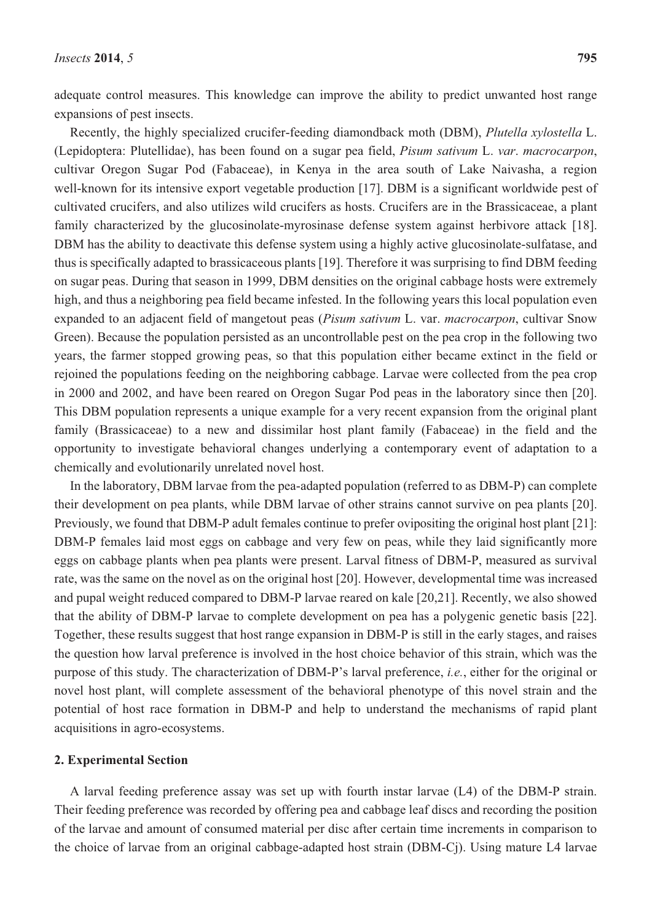adequate control measures. This knowledge can improve the ability to predict unwanted host range expansions of pest insects.

Recently, the highly specialized crucifer-feeding diamondback moth (DBM), *Plutella xylostella* L. (Lepidoptera: Plutellidae), has been found on a sugar pea field, *Pisum sativum* L. *var*. *macrocarpon*, cultivar Oregon Sugar Pod (Fabaceae), in Kenya in the area south of Lake Naivasha, a region well-known for its intensive export vegetable production [17]. DBM is a significant worldwide pest of cultivated crucifers, and also utilizes wild crucifers as hosts. Crucifers are in the Brassicaceae, a plant family characterized by the glucosinolate-myrosinase defense system against herbivore attack [18]. DBM has the ability to deactivate this defense system using a highly active glucosinolate-sulfatase, and thus is specifically adapted to brassicaceous plants [19]. Therefore it was surprising to find DBM feeding on sugar peas. During that season in 1999, DBM densities on the original cabbage hosts were extremely high, and thus a neighboring pea field became infested. In the following years this local population even expanded to an adjacent field of mangetout peas (*Pisum sativum* L. var. *macrocarpon*, cultivar Snow Green). Because the population persisted as an uncontrollable pest on the pea crop in the following two years, the farmer stopped growing peas, so that this population either became extinct in the field or rejoined the populations feeding on the neighboring cabbage. Larvae were collected from the pea crop in 2000 and 2002, and have been reared on Oregon Sugar Pod peas in the laboratory since then [20]. This DBM population represents a unique example for a very recent expansion from the original plant family (Brassicaceae) to a new and dissimilar host plant family (Fabaceae) in the field and the opportunity to investigate behavioral changes underlying a contemporary event of adaptation to a chemically and evolutionarily unrelated novel host.

In the laboratory, DBM larvae from the pea-adapted population (referred to as DBM-P) can complete their development on pea plants, while DBM larvae of other strains cannot survive on pea plants [20]. Previously, we found that DBM-P adult females continue to prefer ovipositing the original host plant [21]: DBM-P females laid most eggs on cabbage and very few on peas, while they laid significantly more eggs on cabbage plants when pea plants were present. Larval fitness of DBM-P, measured as survival rate, was the same on the novel as on the original host [20]. However, developmental time was increased and pupal weight reduced compared to DBM-P larvae reared on kale [20,21]. Recently, we also showed that the ability of DBM-P larvae to complete development on pea has a polygenic genetic basis [22]. Together, these results suggest that host range expansion in DBM-P is still in the early stages, and raises the question how larval preference is involved in the host choice behavior of this strain, which was the purpose of this study. The characterization of DBM-P's larval preference, *i.e.*, either for the original or novel host plant, will complete assessment of the behavioral phenotype of this novel strain and the potential of host race formation in DBM-P and help to understand the mechanisms of rapid plant acquisitions in agro-ecosystems.

#### **2. Experimental Section**

A larval feeding preference assay was set up with fourth instar larvae (L4) of the DBM-P strain. Their feeding preference was recorded by offering pea and cabbage leaf discs and recording the position of the larvae and amount of consumed material per disc after certain time increments in comparison to the choice of larvae from an original cabbage-adapted host strain (DBM-Cj). Using mature L4 larvae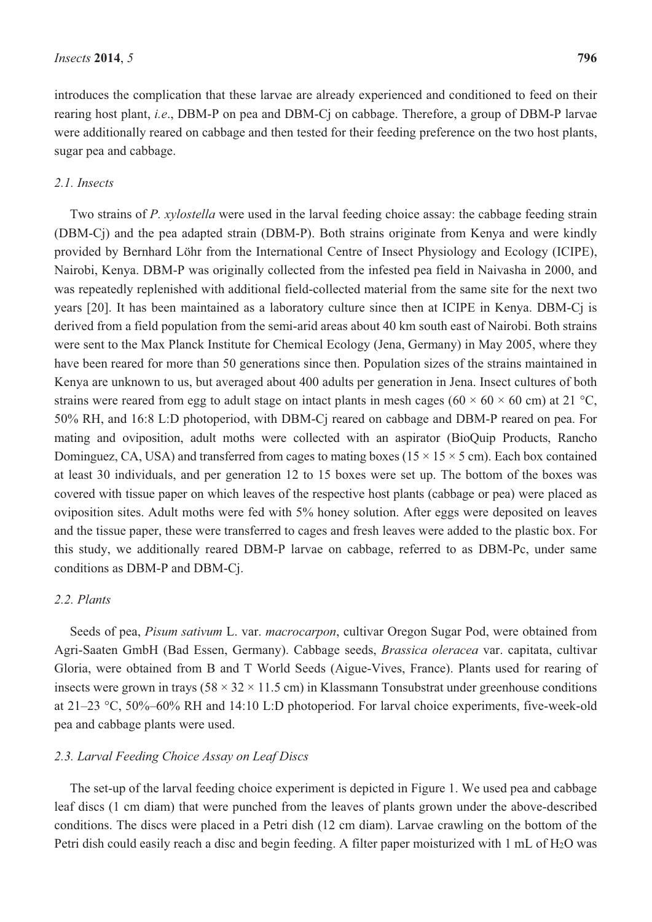introduces the complication that these larvae are already experienced and conditioned to feed on their rearing host plant, *i.e*., DBM-P on pea and DBM-Cj on cabbage. Therefore, a group of DBM-P larvae were additionally reared on cabbage and then tested for their feeding preference on the two host plants, sugar pea and cabbage.

#### *2.1. Insects*

Two strains of *P. xylostella* were used in the larval feeding choice assay: the cabbage feeding strain (DBM-Cj) and the pea adapted strain (DBM-P). Both strains originate from Kenya and were kindly provided by Bernhard Löhr from the International Centre of Insect Physiology and Ecology (ICIPE), Nairobi, Kenya. DBM-P was originally collected from the infested pea field in Naivasha in 2000, and was repeatedly replenished with additional field-collected material from the same site for the next two years [20]. It has been maintained as a laboratory culture since then at ICIPE in Kenya. DBM-Cj is derived from a field population from the semi-arid areas about 40 km south east of Nairobi. Both strains were sent to the Max Planck Institute for Chemical Ecology (Jena, Germany) in May 2005, where they have been reared for more than 50 generations since then. Population sizes of the strains maintained in Kenya are unknown to us, but averaged about 400 adults per generation in Jena. Insect cultures of both strains were reared from egg to adult stage on intact plants in mesh cages (60  $\times$  60  $\times$  60 cm) at 21 °C, 50% RH, and 16:8 L:D photoperiod, with DBM-Cj reared on cabbage and DBM-P reared on pea. For mating and oviposition, adult moths were collected with an aspirator (BioQuip Products, Rancho Dominguez, CA, USA) and transferred from cages to mating boxes ( $15 \times 15 \times 5$  cm). Each box contained at least 30 individuals, and per generation 12 to 15 boxes were set up. The bottom of the boxes was covered with tissue paper on which leaves of the respective host plants (cabbage or pea) were placed as oviposition sites. Adult moths were fed with 5% honey solution. After eggs were deposited on leaves and the tissue paper, these were transferred to cages and fresh leaves were added to the plastic box. For this study, we additionally reared DBM-P larvae on cabbage, referred to as DBM-Pc, under same conditions as DBM-P and DBM-Cj.

# *2.2. Plants*

Seeds of pea, *Pisum sativum* L. var. *macrocarpon*, cultivar Oregon Sugar Pod, were obtained from Agri-Saaten GmbH (Bad Essen, Germany). Cabbage seeds, *Brassica oleracea* var. capitata, cultivar Gloria, were obtained from B and T World Seeds (Aigue-Vives, France). Plants used for rearing of insects were grown in trays ( $58 \times 32 \times 11.5$  cm) in Klassmann Tonsubstrat under greenhouse conditions at 21–23 °C, 50%–60% RH and 14:10 L:D photoperiod. For larval choice experiments, five-week-old pea and cabbage plants were used.

#### *2.3. Larval Feeding Choice Assay on Leaf Discs*

The set-up of the larval feeding choice experiment is depicted in Figure 1. We used pea and cabbage leaf discs (1 cm diam) that were punched from the leaves of plants grown under the above-described conditions. The discs were placed in a Petri dish (12 cm diam). Larvae crawling on the bottom of the Petri dish could easily reach a disc and begin feeding. A filter paper moisturized with 1 mL of H2O was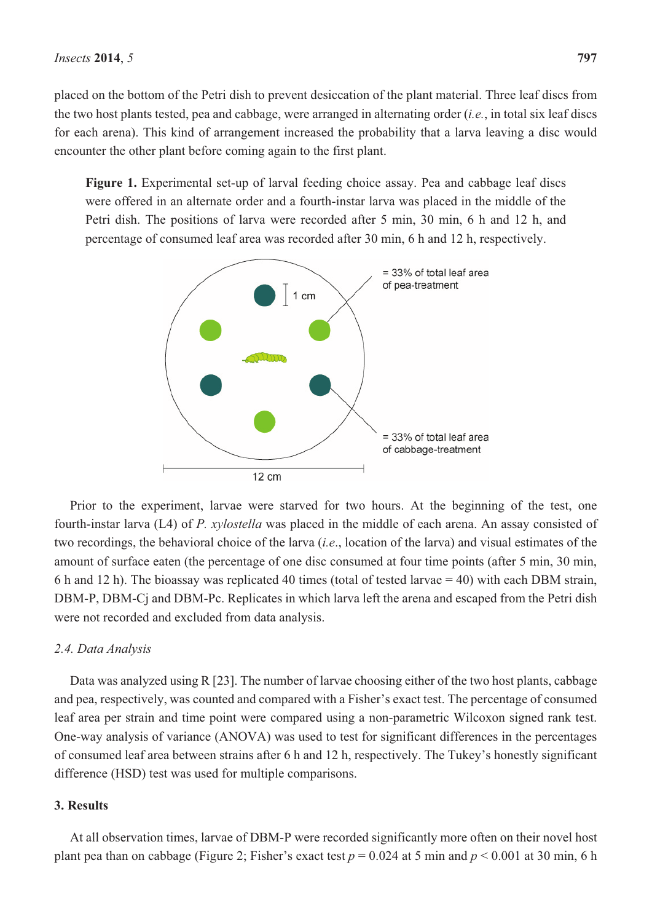placed on the bottom of the Petri dish to prevent desiccation of the plant material. Three leaf discs from the two host plants tested, pea and cabbage, were arranged in alternating order (*i.e.*, in total six leaf discs for each arena). This kind of arrangement increased the probability that a larva leaving a disc would encounter the other plant before coming again to the first plant.

**Figure 1.** Experimental set-up of larval feeding choice assay. Pea and cabbage leaf discs were offered in an alternate order and a fourth-instar larva was placed in the middle of the Petri dish. The positions of larva were recorded after 5 min, 30 min, 6 h and 12 h, and percentage of consumed leaf area was recorded after 30 min, 6 h and 12 h, respectively.



Prior to the experiment, larvae were starved for two hours. At the beginning of the test, one fourth-instar larva (L4) of *P. xylostella* was placed in the middle of each arena. An assay consisted of two recordings, the behavioral choice of the larva (*i.e*., location of the larva) and visual estimates of the amount of surface eaten (the percentage of one disc consumed at four time points (after 5 min, 30 min, 6 h and 12 h). The bioassay was replicated 40 times (total of tested larvae = 40) with each DBM strain, DBM-P, DBM-Cj and DBM-Pc. Replicates in which larva left the arena and escaped from the Petri dish were not recorded and excluded from data analysis.

# *2.4. Data Analysis*

Data was analyzed using R [23]. The number of larvae choosing either of the two host plants, cabbage and pea, respectively, was counted and compared with a Fisher's exact test. The percentage of consumed leaf area per strain and time point were compared using a non-parametric Wilcoxon signed rank test. One-way analysis of variance (ANOVA) was used to test for significant differences in the percentages of consumed leaf area between strains after 6 h and 12 h, respectively. The Tukey's honestly significant difference (HSD) test was used for multiple comparisons.

#### **3. Results**

At all observation times, larvae of DBM-P were recorded significantly more often on their novel host plant pea than on cabbage (Figure 2; Fisher's exact test  $p = 0.024$  at 5 min and  $p \le 0.001$  at 30 min, 6 h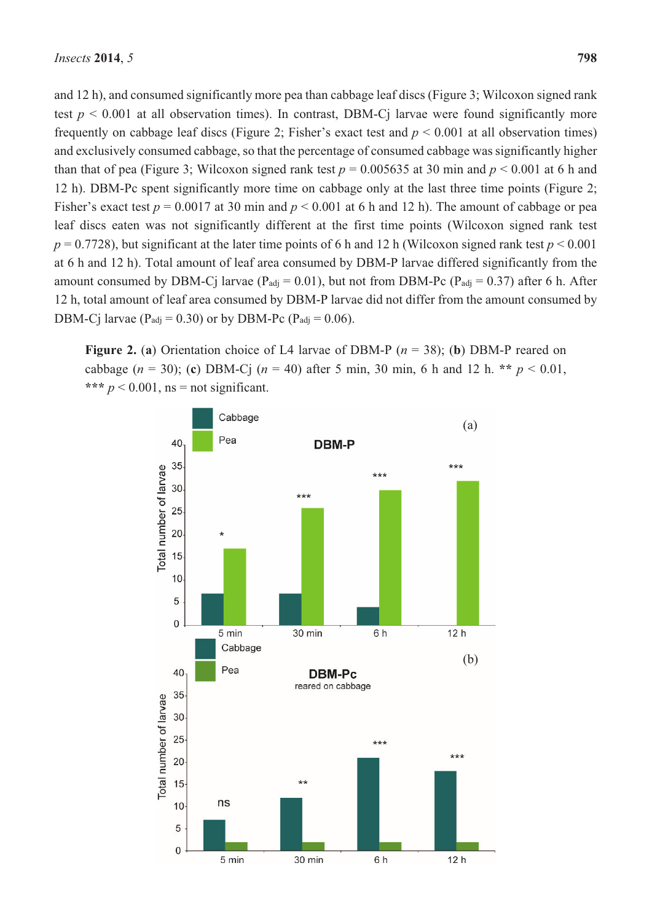and 12 h), and consumed significantly more pea than cabbage leaf discs (Figure 3; Wilcoxon signed rank test  $p \le 0.001$  at all observation times). In contrast, DBM-C larvae were found significantly more frequently on cabbage leaf discs (Figure 2; Fisher's exact test and  $p < 0.001$  at all observation times) and exclusively consumed cabbage, so that the percentage of consumed cabbage was significantly higher than that of pea (Figure 3; Wilcoxon signed rank test  $p = 0.005635$  at 30 min and  $p \le 0.001$  at 6 h and 12 h). DBM-Pc spent significantly more time on cabbage only at the last three time points (Figure 2; Fisher's exact test  $p = 0.0017$  at 30 min and  $p < 0.001$  at 6 h and 12 h). The amount of cabbage or pea leaf discs eaten was not significantly different at the first time points (Wilcoxon signed rank test  $p = 0.7728$ ), but significant at the later time points of 6 h and 12 h (Wilcoxon signed rank test  $p \le 0.001$ at 6 h and 12 h). Total amount of leaf area consumed by DBM-P larvae differed significantly from the amount consumed by DBM-Cj larvae ( $P_{\text{adj}} = 0.01$ ), but not from DBM-Pc ( $P_{\text{adj}} = 0.37$ ) after 6 h. After 12 h, total amount of leaf area consumed by DBM-P larvae did not differ from the amount consumed by DBM-Cj larvae ( $P_{\text{adj}} = 0.30$ ) or by DBM-Pc ( $P_{\text{adj}} = 0.06$ ).

**Figure 2.** (**a**) Orientation choice of L4 larvae of DBM-P (*n* = 38); (**b**) DBM-P reared on cabbage  $(n = 30)$ ; (c) DBM-Cj  $(n = 40)$  after 5 min, 30 min, 6 h and 12 h. \*\*  $p < 0.01$ , \*\*\*  $p < 0.001$ , ns = not significant.

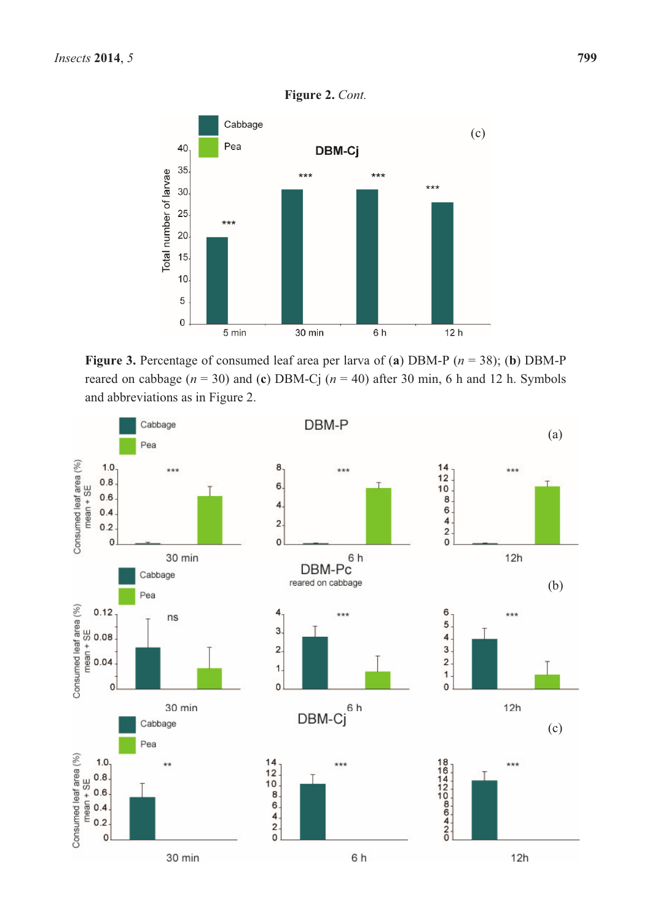

**Figure 2.** *Cont.*

**Figure 3.** Percentage of consumed leaf area per larva of (**a**) DBM-P (*n* = 38); (**b**) DBM-P reared on cabbage  $(n = 30)$  and (c) DBM-Cj  $(n = 40)$  after 30 min, 6 h and 12 h. Symbols and abbreviations as in Figure 2.

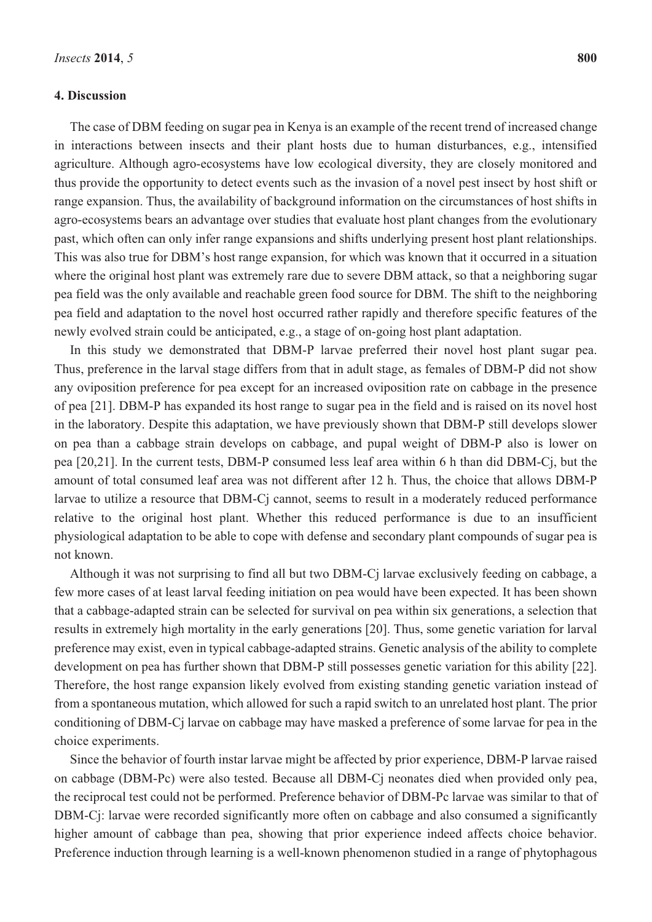#### **4. Discussion**

The case of DBM feeding on sugar pea in Kenya is an example of the recent trend of increased change in interactions between insects and their plant hosts due to human disturbances, e.g., intensified agriculture. Although agro-ecosystems have low ecological diversity, they are closely monitored and thus provide the opportunity to detect events such as the invasion of a novel pest insect by host shift or range expansion. Thus, the availability of background information on the circumstances of host shifts in agro-ecosystems bears an advantage over studies that evaluate host plant changes from the evolutionary past, which often can only infer range expansions and shifts underlying present host plant relationships. This was also true for DBM's host range expansion, for which was known that it occurred in a situation where the original host plant was extremely rare due to severe DBM attack, so that a neighboring sugar pea field was the only available and reachable green food source for DBM. The shift to the neighboring pea field and adaptation to the novel host occurred rather rapidly and therefore specific features of the newly evolved strain could be anticipated, e.g., a stage of on-going host plant adaptation.

In this study we demonstrated that DBM-P larvae preferred their novel host plant sugar pea. Thus, preference in the larval stage differs from that in adult stage, as females of DBM-P did not show any oviposition preference for pea except for an increased oviposition rate on cabbage in the presence of pea [21]. DBM-P has expanded its host range to sugar pea in the field and is raised on its novel host in the laboratory. Despite this adaptation, we have previously shown that DBM-P still develops slower on pea than a cabbage strain develops on cabbage, and pupal weight of DBM-P also is lower on pea [20,21]. In the current tests, DBM-P consumed less leaf area within 6 h than did DBM-Cj, but the amount of total consumed leaf area was not different after 12 h. Thus, the choice that allows DBM-P larvae to utilize a resource that DBM-Cj cannot, seems to result in a moderately reduced performance relative to the original host plant. Whether this reduced performance is due to an insufficient physiological adaptation to be able to cope with defense and secondary plant compounds of sugar pea is not known.

Although it was not surprising to find all but two DBM-Cj larvae exclusively feeding on cabbage, a few more cases of at least larval feeding initiation on pea would have been expected. It has been shown that a cabbage-adapted strain can be selected for survival on pea within six generations, a selection that results in extremely high mortality in the early generations [20]. Thus, some genetic variation for larval preference may exist, even in typical cabbage-adapted strains. Genetic analysis of the ability to complete development on pea has further shown that DBM-P still possesses genetic variation for this ability [22]. Therefore, the host range expansion likely evolved from existing standing genetic variation instead of from a spontaneous mutation, which allowed for such a rapid switch to an unrelated host plant. The prior conditioning of DBM-Cj larvae on cabbage may have masked a preference of some larvae for pea in the choice experiments.

Since the behavior of fourth instar larvae might be affected by prior experience, DBM-P larvae raised on cabbage (DBM-Pc) were also tested. Because all DBM-Cj neonates died when provided only pea, the reciprocal test could not be performed. Preference behavior of DBM-Pc larvae was similar to that of DBM-Cj: larvae were recorded significantly more often on cabbage and also consumed a significantly higher amount of cabbage than pea, showing that prior experience indeed affects choice behavior. Preference induction through learning is a well-known phenomenon studied in a range of phytophagous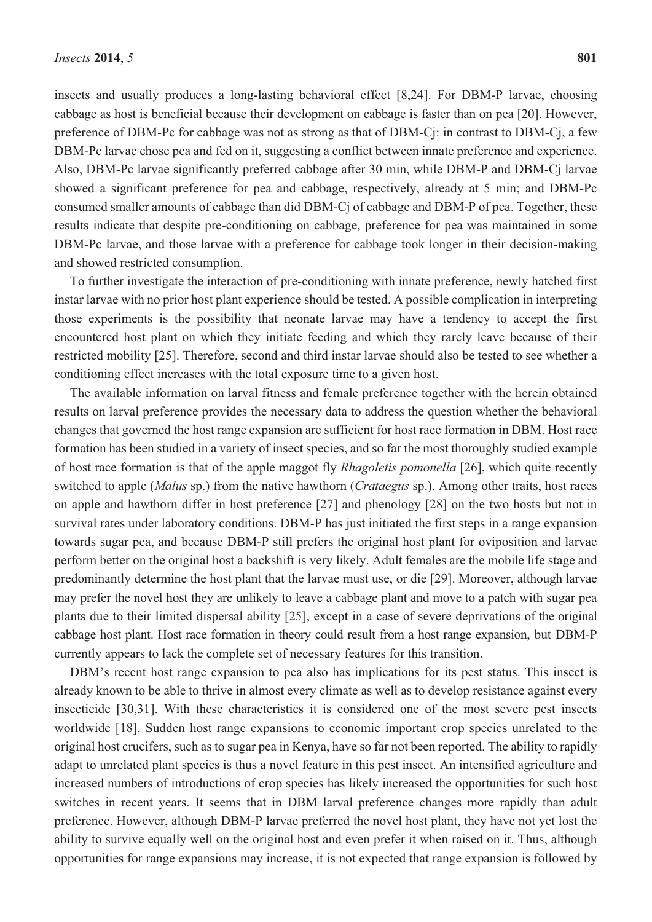insects and usually produces a long-lasting behavioral effect [8,24]. For DBM-P larvae, choosing cabbage as host is beneficial because their development on cabbage is faster than on pea [20]. However, preference of DBM-Pc for cabbage was not as strong as that of DBM-Cj: in contrast to DBM-Cj, a few DBM-Pc larvae chose pea and fed on it, suggesting a conflict between innate preference and experience. Also, DBM-Pc larvae significantly preferred cabbage after 30 min, while DBM-P and DBM-Cj larvae showed a significant preference for pea and cabbage, respectively, already at 5 min; and DBM-Pc consumed smaller amounts of cabbage than did DBM-Cj of cabbage and DBM-P of pea. Together, these results indicate that despite pre-conditioning on cabbage, preference for pea was maintained in some DBM-Pc larvae, and those larvae with a preference for cabbage took longer in their decision-making and showed restricted consumption.

To further investigate the interaction of pre-conditioning with innate preference, newly hatched first instar larvae with no prior host plant experience should be tested. A possible complication in interpreting those experiments is the possibility that neonate larvae may have a tendency to accept the first encountered host plant on which they initiate feeding and which they rarely leave because of their restricted mobility [25]. Therefore, second and third instar larvae should also be tested to see whether a conditioning effect increases with the total exposure time to a given host.

The available information on larval fitness and female preference together with the herein obtained results on larval preference provides the necessary data to address the question whether the behavioral changes that governed the host range expansion are sufficient for host race formation in DBM. Host race formation has been studied in a variety of insect species, and so far the most thoroughly studied example of host race formation is that of the apple maggot fly *Rhagoletis pomonella* [26], which quite recently switched to apple (*Malus* sp.) from the native hawthorn (*Crataegus* sp.). Among other traits, host races on apple and hawthorn differ in host preference [27] and phenology [28] on the two hosts but not in survival rates under laboratory conditions. DBM-P has just initiated the first steps in a range expansion towards sugar pea, and because DBM-P still prefers the original host plant for oviposition and larvae perform better on the original host a backshift is very likely. Adult females are the mobile life stage and predominantly determine the host plant that the larvae must use, or die [29]. Moreover, although larvae may prefer the novel host they are unlikely to leave a cabbage plant and move to a patch with sugar pea plants due to their limited dispersal ability [25], except in a case of severe deprivations of the original cabbage host plant. Host race formation in theory could result from a host range expansion, but DBM-P currently appears to lack the complete set of necessary features for this transition.

DBM's recent host range expansion to pea also has implications for its pest status. This insect is already known to be able to thrive in almost every climate as well as to develop resistance against every insecticide [30,31]. With these characteristics it is considered one of the most severe pest insects worldwide [18]. Sudden host range expansions to economic important crop species unrelated to the original host crucifers, such as to sugar pea in Kenya, have so far not been reported. The ability to rapidly adapt to unrelated plant species is thus a novel feature in this pest insect. An intensified agriculture and increased numbers of introductions of crop species has likely increased the opportunities for such host switches in recent years. It seems that in DBM larval preference changes more rapidly than adult preference. However, although DBM-P larvae preferred the novel host plant, they have not yet lost the ability to survive equally well on the original host and even prefer it when raised on it. Thus, although opportunities for range expansions may increase, it is not expected that range expansion is followed by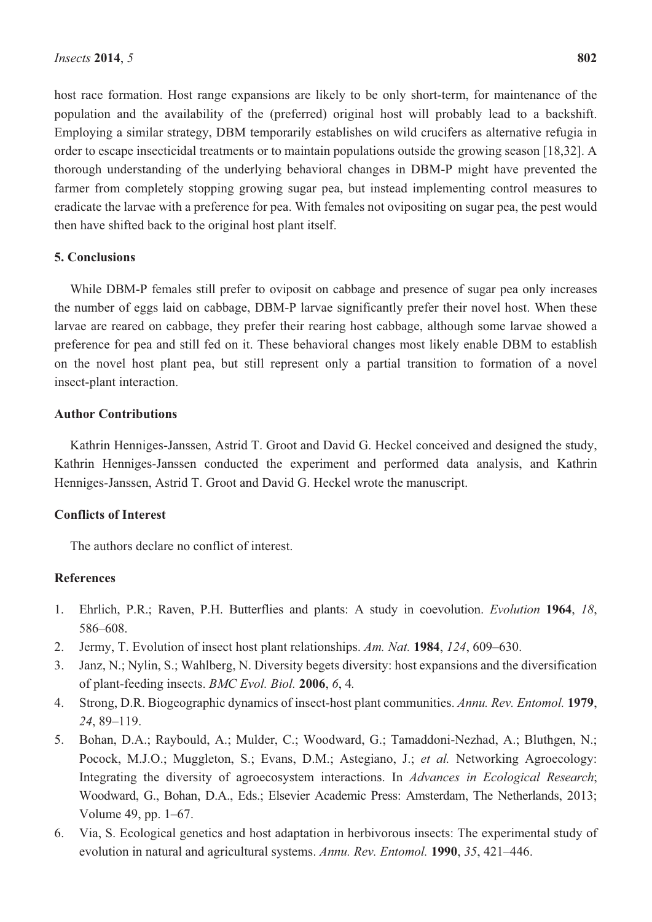host race formation. Host range expansions are likely to be only short-term, for maintenance of the population and the availability of the (preferred) original host will probably lead to a backshift. Employing a similar strategy, DBM temporarily establishes on wild crucifers as alternative refugia in order to escape insecticidal treatments or to maintain populations outside the growing season [18,32]. A thorough understanding of the underlying behavioral changes in DBM-P might have prevented the farmer from completely stopping growing sugar pea, but instead implementing control measures to eradicate the larvae with a preference for pea. With females not ovipositing on sugar pea, the pest would then have shifted back to the original host plant itself.

# **5. Conclusions**

While DBM-P females still prefer to oviposit on cabbage and presence of sugar pea only increases the number of eggs laid on cabbage, DBM-P larvae significantly prefer their novel host. When these larvae are reared on cabbage, they prefer their rearing host cabbage, although some larvae showed a preference for pea and still fed on it. These behavioral changes most likely enable DBM to establish on the novel host plant pea, but still represent only a partial transition to formation of a novel insect-plant interaction.

#### **Author Contributions**

Kathrin Henniges-Janssen, Astrid T. Groot and David G. Heckel conceived and designed the study, Kathrin Henniges-Janssen conducted the experiment and performed data analysis, and Kathrin Henniges-Janssen, Astrid T. Groot and David G. Heckel wrote the manuscript.

# **Conflicts of Interest**

The authors declare no conflict of interest.

# **References**

- 1. Ehrlich, P.R.; Raven, P.H. Butterflies and plants: A study in coevolution. *Evolution* **1964**, *18*, 586–608.
- 2. Jermy, T. Evolution of insect host plant relationships. *Am. Nat.* **1984**, *124*, 609–630.
- 3. Janz, N.; Nylin, S.; Wahlberg, N. Diversity begets diversity: host expansions and the diversification of plant-feeding insects. *BMC Evol. Biol.* **2006**, *6*, 4*.*
- 4. Strong, D.R. Biogeographic dynamics of insect-host plant communities. *Annu. Rev. Entomol.* **1979**, *24*, 89–119.
- 5. Bohan, D.A.; Raybould, A.; Mulder, C.; Woodward, G.; Tamaddoni-Nezhad, A.; Bluthgen, N.; Pocock, M.J.O.; Muggleton, S.; Evans, D.M.; Astegiano, J.; *et al.* Networking Agroecology: Integrating the diversity of agroecosystem interactions. In *Advances in Ecological Research*; Woodward, G., Bohan, D.A., Eds.; Elsevier Academic Press: Amsterdam, The Netherlands, 2013; Volume 49, pp. 1–67.
- 6. Via, S. Ecological genetics and host adaptation in herbivorous insects: The experimental study of evolution in natural and agricultural systems. *Annu. Rev. Entomol.* **1990**, *35*, 421–446.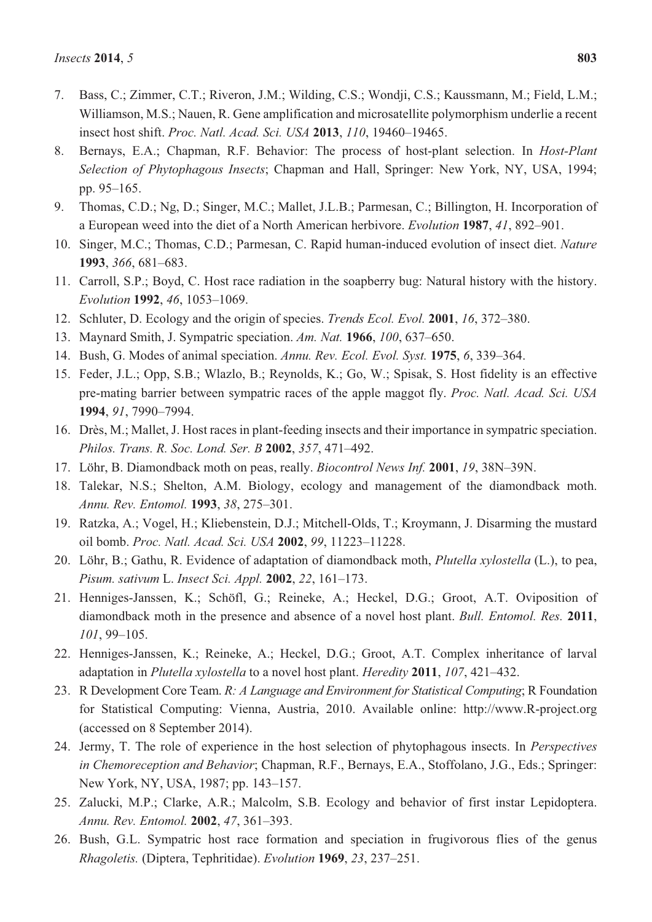- 7. Bass, C.; Zimmer, C.T.; Riveron, J.M.; Wilding, C.S.; Wondji, C.S.; Kaussmann, M.; Field, L.M.; Williamson, M.S.; Nauen, R. Gene amplification and microsatellite polymorphism underlie a recent insect host shift. *Proc. Natl. Acad. Sci. USA* **2013**, *110*, 19460–19465.
- 8. Bernays, E.A.; Chapman, R.F. Behavior: The process of host-plant selection. In *Host-Plant Selection of Phytophagous Insects*; Chapman and Hall, Springer: New York, NY, USA, 1994; pp. 95–165.
- 9. Thomas, C.D.; Ng, D.; Singer, M.C.; Mallet, J.L.B.; Parmesan, C.; Billington, H. Incorporation of a European weed into the diet of a North American herbivore. *Evolution* **1987**, *41*, 892–901.
- 10. Singer, M.C.; Thomas, C.D.; Parmesan, C. Rapid human-induced evolution of insect diet. *Nature* **1993**, *366*, 681–683.
- 11. Carroll, S.P.; Boyd, C. Host race radiation in the soapberry bug: Natural history with the history. *Evolution* **1992**, *46*, 1053–1069.
- 12. Schluter, D. Ecology and the origin of species. *Trends Ecol. Evol.* **2001**, *16*, 372–380.
- 13. Maynard Smith, J. Sympatric speciation. *Am. Nat.* **1966**, *100*, 637–650.
- 14. Bush, G. Modes of animal speciation. *Annu. Rev. Ecol. Evol. Syst.* **1975**, *6*, 339–364.
- 15. Feder, J.L.; Opp, S.B.; Wlazlo, B.; Reynolds, K.; Go, W.; Spisak, S. Host fidelity is an effective pre-mating barrier between sympatric races of the apple maggot fly. *Proc. Natl. Acad. Sci. USA* **1994**, *91*, 7990–7994.
- 16. Drès, M.; Mallet, J. Host races in plant-feeding insects and their importance in sympatric speciation. *Philos. Trans. R. Soc. Lond. Ser. B* **2002**, *357*, 471–492.
- 17. Löhr, B. Diamondback moth on peas, really. *Biocontrol News Inf.* **2001**, *19*, 38N–39N.
- 18. Talekar, N.S.; Shelton, A.M. Biology, ecology and management of the diamondback moth. *Annu. Rev. Entomol.* **1993**, *38*, 275–301.
- 19. Ratzka, A.; Vogel, H.; Kliebenstein, D.J.; Mitchell-Olds, T.; Kroymann, J. Disarming the mustard oil bomb. *Proc. Natl. Acad. Sci. USA* **2002**, *99*, 11223–11228.
- 20. Löhr, B.; Gathu, R. Evidence of adaptation of diamondback moth, *Plutella xylostella* (L.), to pea, *Pisum. sativum* L. *Insect Sci. Appl.* **2002**, *22*, 161–173.
- 21. Henniges-Janssen, K.; Schöfl, G.; Reineke, A.; Heckel, D.G.; Groot, A.T. Oviposition of diamondback moth in the presence and absence of a novel host plant. *Bull. Entomol. Res.* **2011**, *101*, 99–105.
- 22. Henniges-Janssen, K.; Reineke, A.; Heckel, D.G.; Groot, A.T. Complex inheritance of larval adaptation in *Plutella xylostella* to a novel host plant. *Heredity* **2011**, *107*, 421–432.
- 23. R Development Core Team. *R: A Language and Environment for Statistical Computing*; R Foundation for Statistical Computing: Vienna, Austria, 2010. Available online: http://www.R-project.org (accessed on 8 September 2014).
- 24. Jermy, T. The role of experience in the host selection of phytophagous insects. In *Perspectives in Chemoreception and Behavior*; Chapman, R.F., Bernays, E.A., Stoffolano, J.G., Eds.; Springer: New York, NY, USA, 1987; pp. 143–157.
- 25. Zalucki, M.P.; Clarke, A.R.; Malcolm, S.B. Ecology and behavior of first instar Lepidoptera. *Annu. Rev. Entomol.* **2002**, *47*, 361–393.
- 26. Bush, G.L. Sympatric host race formation and speciation in frugivorous flies of the genus *Rhagoletis.* (Diptera, Tephritidae). *Evolution* **1969**, *23*, 237–251.